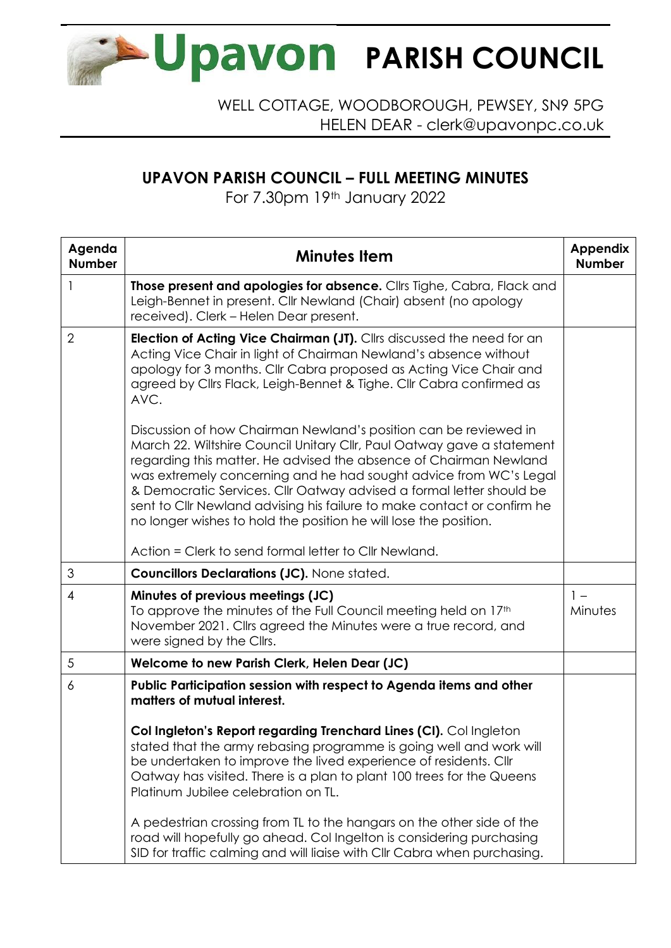

WELL COTTAGE, WOODBOROUGH, PEWSEY, SN9 5PG HELEN DEAR - clerk@upavonpc.co.uk

## **UPAVON PARISH COUNCIL – FULL MEETING MINUTES**

For 7.30pm 19th January 2022

| Agenda<br><b>Number</b> | <b>Minutes Item</b>                                                                                                                                                                                                                                                                                                                                                                                                                                                                                         | <b>Appendix</b><br><b>Number</b> |
|-------------------------|-------------------------------------------------------------------------------------------------------------------------------------------------------------------------------------------------------------------------------------------------------------------------------------------------------------------------------------------------------------------------------------------------------------------------------------------------------------------------------------------------------------|----------------------------------|
| 1                       | Those present and apologies for absence. Cllrs Tighe, Cabra, Flack and<br>Leigh-Bennet in present. Cllr Newland (Chair) absent (no apology<br>received). Clerk - Helen Dear present.                                                                                                                                                                                                                                                                                                                        |                                  |
| $\overline{2}$          | <b>Election of Acting Vice Chairman (JT).</b> Cllrs discussed the need for an<br>Acting Vice Chair in light of Chairman Newland's absence without<br>apology for 3 months. Cllr Cabra proposed as Acting Vice Chair and<br>agreed by Cllrs Flack, Leigh-Bennet & Tighe. Cllr Cabra confirmed as<br>AVC.                                                                                                                                                                                                     |                                  |
|                         | Discussion of how Chairman Newland's position can be reviewed in<br>March 22. Wiltshire Council Unitary Cllr, Paul Oatway gave a statement<br>regarding this matter. He advised the absence of Chairman Newland<br>was extremely concerning and he had sought advice from WC's Legal<br>& Democratic Services. Cllr Oatway advised a formal letter should be<br>sent to Cllr Newland advising his failure to make contact or confirm he<br>no longer wishes to hold the position he will lose the position. |                                  |
|                         | Action = Clerk to send formal letter to Cllr Newland.                                                                                                                                                                                                                                                                                                                                                                                                                                                       |                                  |
| 3                       | <b>Councillors Declarations (JC). None stated.</b>                                                                                                                                                                                                                                                                                                                                                                                                                                                          |                                  |
| 4                       | Minutes of previous meetings (JC)<br>To approve the minutes of the Full Council meeting held on 17 <sup>th</sup><br>November 2021. Cllrs agreed the Minutes were a true record, and<br>were signed by the Cllrs.                                                                                                                                                                                                                                                                                            | $1 -$<br>Minutes                 |
| 5                       | Welcome to new Parish Clerk, Helen Dear (JC)                                                                                                                                                                                                                                                                                                                                                                                                                                                                |                                  |
| 6                       | Public Participation session with respect to Agenda items and other<br>matters of mutual interest.                                                                                                                                                                                                                                                                                                                                                                                                          |                                  |
|                         | Col Ingleton's Report regarding Trenchard Lines (CI). Col Ingleton<br>stated that the army rebasing programme is going well and work will<br>be undertaken to improve the lived experience of residents. Cllr<br>Oatway has visited. There is a plan to plant 100 trees for the Queens<br>Platinum Jubilee celebration on TL.<br>A pedestrian crossing from TL to the hangars on the other side of the<br>road will hopefully go ahead. Col Ingelton is considering purchasing                              |                                  |
|                         | SID for traffic calming and will liaise with CIIr Cabra when purchasing.                                                                                                                                                                                                                                                                                                                                                                                                                                    |                                  |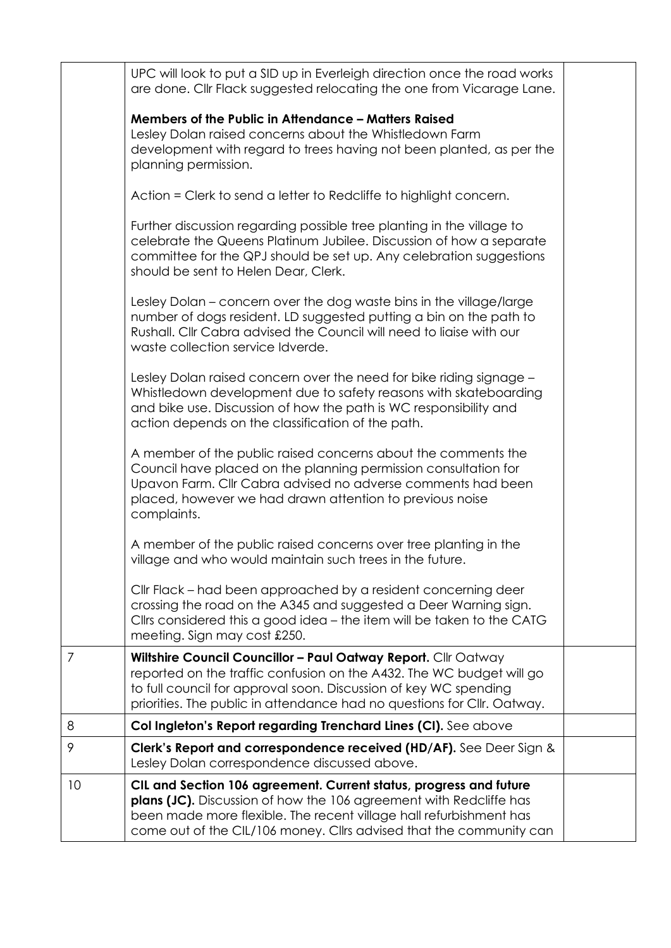|                | UPC will look to put a SID up in Everleigh direction once the road works<br>are done. Cllr Flack suggested relocating the one from Vicarage Lane.                                                                                                                                     |  |
|----------------|---------------------------------------------------------------------------------------------------------------------------------------------------------------------------------------------------------------------------------------------------------------------------------------|--|
|                | Members of the Public in Attendance - Matters Raised                                                                                                                                                                                                                                  |  |
|                | Lesley Dolan raised concerns about the Whistledown Farm                                                                                                                                                                                                                               |  |
|                | development with regard to trees having not been planted, as per the<br>planning permission.                                                                                                                                                                                          |  |
|                | Action = Clerk to send a letter to Redcliffe to highlight concern.                                                                                                                                                                                                                    |  |
|                | Further discussion regarding possible tree planting in the village to<br>celebrate the Queens Platinum Jubilee. Discussion of how a separate<br>committee for the QPJ should be set up. Any celebration suggestions<br>should be sent to Helen Dear, Clerk.                           |  |
|                | Lesley Dolan – concern over the dog waste bins in the village/large<br>number of dogs resident. LD suggested putting a bin on the path to<br>Rushall. Cllr Cabra advised the Council will need to liaise with our<br>waste collection service Idverde.                                |  |
|                | Lesley Dolan raised concern over the need for bike riding signage -<br>Whistledown development due to safety reasons with skateboarding<br>and bike use. Discussion of how the path is WC responsibility and<br>action depends on the classification of the path.                     |  |
|                | A member of the public raised concerns about the comments the<br>Council have placed on the planning permission consultation for<br>Upavon Farm. Cllr Cabra advised no adverse comments had been<br>placed, however we had drawn attention to previous noise<br>complaints.           |  |
|                | A member of the public raised concerns over tree planting in the<br>village and who would maintain such trees in the future.                                                                                                                                                          |  |
|                | Cllr Flack – had been approached by a resident concerning deer<br>crossing the road on the A345 and suggested a Deer Warning sign.<br>Cllrs considered this a good idea - the item will be taken to the CATG<br>meeting. Sign may cost £250.                                          |  |
| $\overline{7}$ | Wiltshire Council Councillor - Paul Oatway Report. Cllr Oatway<br>reported on the traffic confusion on the A432. The WC budget will go<br>to full council for approval soon. Discussion of key WC spending<br>priorities. The public in attendance had no questions for Cllr. Oatway. |  |
| 8              | Col Ingleton's Report regarding Trenchard Lines (CI). See above                                                                                                                                                                                                                       |  |
| 9              | Clerk's Report and correspondence received (HD/AF). See Deer Sign &<br>Lesley Dolan correspondence discussed above.                                                                                                                                                                   |  |
| 10             | CIL and Section 106 agreement. Current status, progress and future<br>plans (JC). Discussion of how the 106 agreement with Redcliffe has<br>been made more flexible. The recent village hall refurbishment has<br>come out of the CIL/106 money. Cllrs advised that the community can |  |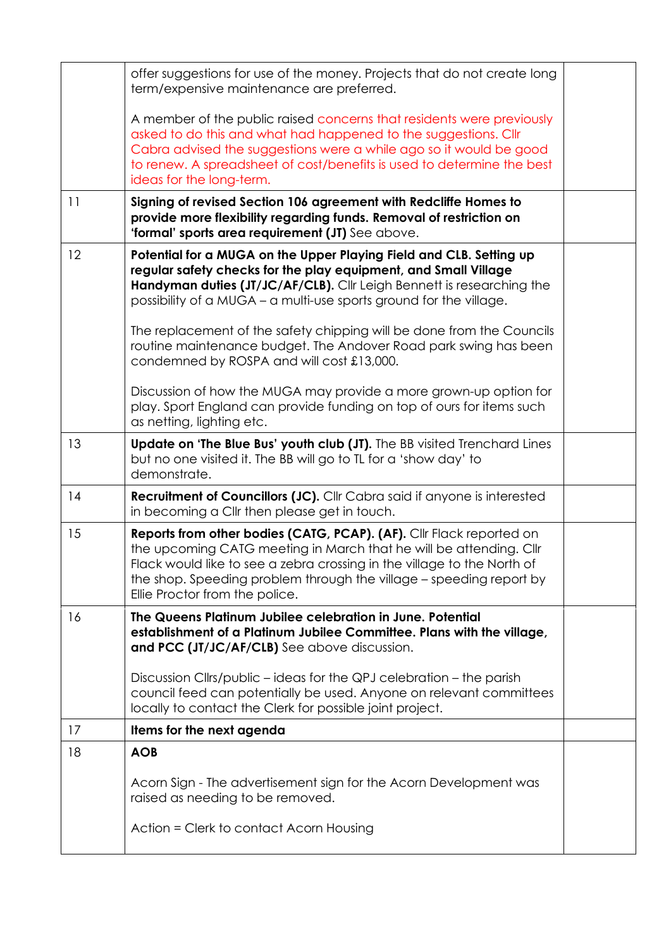|    | offer suggestions for use of the money. Projects that do not create long<br>term/expensive maintenance are preferred.                                                                                                                                                                                                          |  |
|----|--------------------------------------------------------------------------------------------------------------------------------------------------------------------------------------------------------------------------------------------------------------------------------------------------------------------------------|--|
|    |                                                                                                                                                                                                                                                                                                                                |  |
|    | A member of the public raised concerns that residents were previously<br>asked to do this and what had happened to the suggestions. Cllr<br>Cabra advised the suggestions were a while ago so it would be good<br>to renew. A spreadsheet of cost/benefits is used to determine the best<br>ideas for the long-term.           |  |
| 11 | Signing of revised Section 106 agreement with Redcliffe Homes to<br>provide more flexibility regarding funds. Removal of restriction on<br>'formal' sports area requirement (JT) See above.                                                                                                                                    |  |
| 12 | Potential for a MUGA on the Upper Playing Field and CLB. Setting up<br>regular safety checks for the play equipment, and Small Village<br>Handyman duties (JT/JC/AF/CLB). Cllr Leigh Bennett is researching the<br>possibility of a MUGA – a multi-use sports ground for the village.                                          |  |
|    | The replacement of the safety chipping will be done from the Councils<br>routine maintenance budget. The Andover Road park swing has been<br>condemned by ROSPA and will cost £13,000.                                                                                                                                         |  |
|    | Discussion of how the MUGA may provide a more grown-up option for<br>play. Sport England can provide funding on top of ours for items such<br>as netting, lighting etc.                                                                                                                                                        |  |
| 13 | Update on 'The Blue Bus' youth club (JT). The BB visited Trenchard Lines<br>but no one visited it. The BB will go to TL for a 'show day' to<br>demonstrate.                                                                                                                                                                    |  |
| 14 | Recruitment of Councillors (JC). Cllr Cabra said if anyone is interested<br>in becoming a Cllr then please get in touch.                                                                                                                                                                                                       |  |
| 15 | Reports from other bodies (CATG, PCAP). (AF). Cllr Flack reported on<br>the upcoming CATG meeting in March that he will be attending. Cllr<br>Flack would like to see a zebra crossing in the village to the North of<br>the shop. Speeding problem through the village – speeding report by<br>Ellie Proctor from the police. |  |
| 16 | The Queens Platinum Jubilee celebration in June. Potential<br>establishment of a Platinum Jubilee Committee. Plans with the village,<br>and PCC (JT/JC/AF/CLB) See above discussion.                                                                                                                                           |  |
|    | Discussion Cllrs/public – ideas for the QPJ celebration – the parish<br>council feed can potentially be used. Anyone on relevant committees<br>locally to contact the Clerk for possible joint project.                                                                                                                        |  |
| 17 | Items for the next agenda                                                                                                                                                                                                                                                                                                      |  |
| 18 | <b>AOB</b>                                                                                                                                                                                                                                                                                                                     |  |
|    | Acorn Sign - The advertisement sign for the Acorn Development was<br>raised as needing to be removed.                                                                                                                                                                                                                          |  |
|    | Action = Clerk to contact Acorn Housing                                                                                                                                                                                                                                                                                        |  |